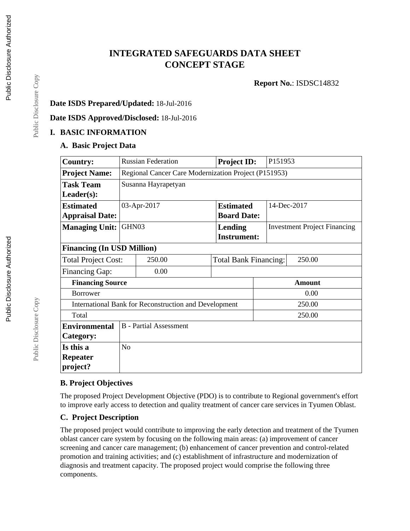# **INTEGRATED SAFEGUARDS DATA SHEET CONCEPT STAGE**

**Report No.**: ISDSC14832

#### **Date ISDS Prepared/Updated:** 18-Jul-2016

**Date ISDS Approved/Disclosed:** 18-Jul-2016

### **I. BASIC INFORMATION**

#### **A. Basic Project Data**

| <b>Country:</b>                                       | <b>Russian Federation</b>     |                                                      | <b>Project ID:</b>                   |  | P151953                             |        |  |  |
|-------------------------------------------------------|-------------------------------|------------------------------------------------------|--------------------------------------|--|-------------------------------------|--------|--|--|
| <b>Project Name:</b>                                  |                               | Regional Cancer Care Modernization Project (P151953) |                                      |  |                                     |        |  |  |
| <b>Task Team</b>                                      | Susanna Hayrapetyan           |                                                      |                                      |  |                                     |        |  |  |
| $Leader(s)$ :                                         |                               |                                                      |                                      |  |                                     |        |  |  |
| <b>Estimated</b>                                      |                               | 03-Apr-2017                                          | <b>Estimated</b>                     |  | 14-Dec-2017                         |        |  |  |
| <b>Appraisal Date:</b>                                |                               |                                                      | <b>Board Date:</b>                   |  |                                     |        |  |  |
| <b>Managing Unit:</b>                                 | GHN03                         |                                                      | <b>Lending</b><br><b>Instrument:</b> |  | <b>Investment Project Financing</b> |        |  |  |
| <b>Financing (In USD Million)</b>                     |                               |                                                      |                                      |  |                                     |        |  |  |
| <b>Total Project Cost:</b>                            |                               | 250.00                                               | <b>Total Bank Financing:</b>         |  |                                     | 250.00 |  |  |
| <b>Financing Gap:</b>                                 |                               | 0.00                                                 |                                      |  |                                     |        |  |  |
| <b>Financing Source</b>                               |                               |                                                      |                                      |  | <b>Amount</b>                       |        |  |  |
| <b>Borrower</b>                                       |                               |                                                      |                                      |  | 0.00                                |        |  |  |
| International Bank for Reconstruction and Development |                               |                                                      |                                      |  | 250.00                              |        |  |  |
| Total                                                 |                               |                                                      |                                      |  |                                     | 250.00 |  |  |
| <b>Environmental</b>                                  | <b>B</b> - Partial Assessment |                                                      |                                      |  |                                     |        |  |  |
| Category:                                             |                               |                                                      |                                      |  |                                     |        |  |  |
| Is this a                                             | N <sub>o</sub>                |                                                      |                                      |  |                                     |        |  |  |
| <b>Repeater</b>                                       |                               |                                                      |                                      |  |                                     |        |  |  |
| project?                                              |                               |                                                      |                                      |  |                                     |        |  |  |

#### **B. Project Objectives**

The proposed Project Development Objective (PDO) is to contribute to Regional government's effort to improve early access to detection and quality treatment of cancer care services in Tyumen Oblast.

### **C. Project Description**

The proposed project would contribute to improving the early detection and treatment of the Tyumen oblast cancer care system by focusing on the following main areas: (a) improvement of cancer screening and cancer care management; (b) enhancement of cancer prevention and control-related promotion and training activities; and (c) establishment of infrastructure and modernization of diagnosis and treatment capacity. The proposed project would comprise the following three components.

Public Disclosure Copy

Public Disclosure Copy

Public Disclosure Copy

Public Disclosure Copy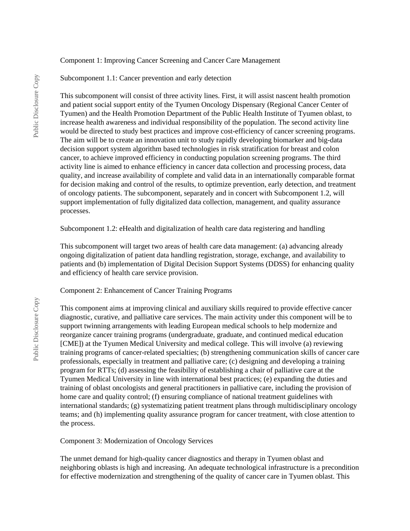#### Component 1: Improving Cancer Screening and Cancer Care Management

Subcomponent 1.1: Cancer prevention and early detection

This subcomponent will consist of three activity lines. First, it will assist nascent health promotion and patient social support entity of the Tyumen Oncology Dispensary (Regional Cancer Center of Tyumen) and the Health Promotion Department of the Public Health Institute of Tyumen oblast, to increase health awareness and individual responsibility of the population. The second activity line would be directed to study best practices and improve cost-efficiency of cancer screening programs. The aim will be to create an innovation unit to study rapidly developing biomarker and big-data decision support system algorithm based technologies in risk stratification for breast and colon cancer, to achieve improved efficiency in conducting population screening programs. The third activity line is aimed to enhance efficiency in cancer data collection and processing process, data quality, and increase availability of complete and valid data in an internationally comparable format for decision making and control of the results, to optimize prevention, early detection, and treatment of oncology patients. The subcomponent, separately and in concert with Subcomponent 1.2, will support implementation of fully digitalized data collection, management, and quality assurance processes.

Subcomponent 1.2: eHealth and digitalization of health care data registering and handling

This subcomponent will target two areas of health care data management: (a) advancing already ongoing digitalization of patient data handling registration, storage, exchange, and availability to patients and (b) implementation of Digital Decision Support Systems (DDSS) for enhancing quality and efficiency of health care service provision.

Component 2: Enhancement of Cancer Training Programs

This component aims at improving clinical and auxiliary skills required to provide effective cancer diagnostic, curative, and palliative care services. The main activity under this component will be to support twinning arrangements with leading European medical schools to help modernize and reorganize cancer training programs (undergraduate, graduate, and continued medical education [CME]) at the Tyumen Medical University and medical college. This will involve (a) reviewing training programs of cancer-related specialties; (b) strengthening communication skills of cancer care professionals, especially in treatment and palliative care; (c) designing and developing a training program for RTTs; (d) assessing the feasibility of establishing a chair of palliative care at the Tyumen Medical University in line with international best practices; (e) expanding the duties and training of oblast oncologists and general practitioners in palliative care, including the provision of home care and quality control; (f) ensuring compliance of national treatment guidelines with international standards; (g) systematizing patient treatment plans through multidisciplinary oncology teams; and (h) implementing quality assurance program for cancer treatment, with close attention to the process.

Component 3: Modernization of Oncology Services

The unmet demand for high-quality cancer diagnostics and therapy in Tyumen oblast and neighboring oblasts is high and increasing. An adequate technological infrastructure is a precondition for effective modernization and strengthening of the quality of cancer care in Tyumen oblast. This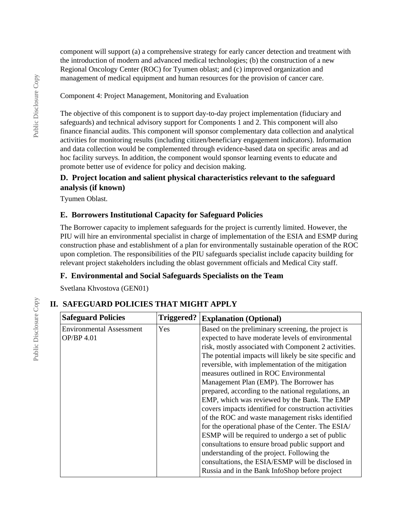component will support (a) a comprehensive strategy for early cancer detection and treatment with the introduction of modern and advanced medical technologies; (b) the construction of a new Regional Oncology Center (ROC) for Tyumen oblast; and (c) improved organization and management of medical equipment and human resources for the provision of cancer care.

Component 4: Project Management, Monitoring and Evaluation

The objective of this component is to support day-to-day project implementation (fiduciary and safeguards) and technical advisory support for Components 1 and 2. This component will also finance financial audits. This component will sponsor complementary data collection and analytical activities for monitoring results (including citizen/beneficiary engagement indicators). Information and data collection would be complemented through evidence-based data on specific areas and ad hoc facility surveys. In addition, the component would sponsor learning events to educate and promote better use of evidence for policy and decision making.

### **D. Project location and salient physical characteristics relevant to the safeguard analysis (if known)**

Tyumen Oblast.

### **E. Borrowers Institutional Capacity for Safeguard Policies**

The Borrower capacity to implement safeguards for the project is currently limited. However, the PIU will hire an environmental specialist in charge of implementation of the ESIA and ESMP during construction phase and establishment of a plan for environmentally sustainable operation of the ROC upon completion. The responsibilities of the PIU safeguards specialist include capacity building for relevant project stakeholders including the oblast government officials and Medical City staff.

### **F. Environmental and Social Safeguards Specialists on the Team**

Svetlana Khvostova (GEN01)

## **II. SAFEGUARD POLICIES THAT MIGHT APPLY**

| <b>Safeguard Policies</b>                     | Triggered? | <b>Explanation (Optional)</b>                                                                                                                                                                                                                                                                                                                                                                                                                                                                                                                                                                                                                                                                                                                                                                                                                                                                               |  |
|-----------------------------------------------|------------|-------------------------------------------------------------------------------------------------------------------------------------------------------------------------------------------------------------------------------------------------------------------------------------------------------------------------------------------------------------------------------------------------------------------------------------------------------------------------------------------------------------------------------------------------------------------------------------------------------------------------------------------------------------------------------------------------------------------------------------------------------------------------------------------------------------------------------------------------------------------------------------------------------------|--|
| <b>Environmental Assessment</b><br>OP/BP 4.01 | <b>Yes</b> | Based on the preliminary screening, the project is<br>expected to have moderate levels of environmental<br>risk, mostly associated with Component 2 activities.<br>The potential impacts will likely be site specific and<br>reversible, with implementation of the mitigation<br>measures outlined in ROC Environmental<br>Management Plan (EMP). The Borrower has<br>prepared, according to the national regulations, an<br>EMP, which was reviewed by the Bank. The EMP<br>covers impacts identified for construction activities<br>of the ROC and waste management risks identified<br>for the operational phase of the Center. The ESIA/<br>ESMP will be required to undergo a set of public<br>consultations to ensure broad public support and<br>understanding of the project. Following the<br>consultations, the ESIA/ESMP will be disclosed in<br>Russia and in the Bank InfoShop before project |  |